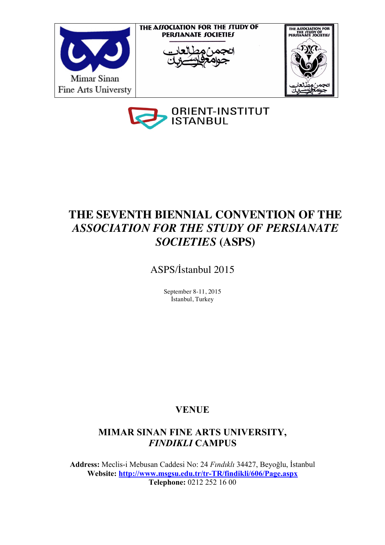



# **THE SEVENTH BIENNIAL CONVENTION OF THE**  *ASSOCIATION FOR THE STUDY OF PERSIANATE SOCIETIES* **(ASPS)**

ASPS/İstanbul 2015

September 8-11, 2015 İstanbul, Turkey

# **VENUE**

# **MIMAR SINAN FINE ARTS UNIVERSITY,**  *FINDIKLI* **CAMPUS**

**Address:** Meclis-i Mebusan Caddesi No: 24 *Fındıklı* 34427, Beyoğlu, İstanbul **Website: http://www.msgsu.edu.tr/tr-TR/findikli/606/Page.aspx Telephone:** 0212 252 16 00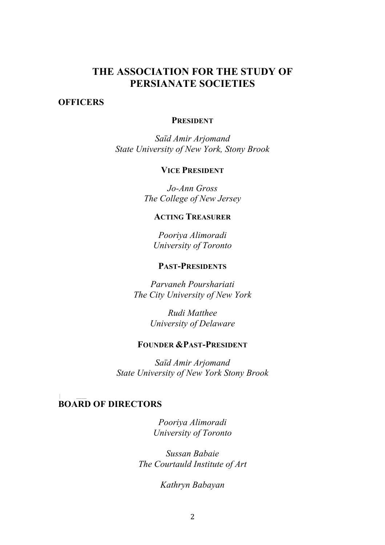# **THE ASSOCIATION FOR THE STUDY OF PERSIANATE SOCIETIES**

#### **OFFICERS**

### **PRESIDENT**

*Saïd Amir Arjomand State University of New York, Stony Brook*

### **VICE PRESIDENT**

*Jo-Ann Gross The College of New Jersey*

## **ACTING TREASURER**

*Pooriya Alimoradi University of Toronto*

## **PAST-PRESIDENTS**

*Parvaneh Pourshariati The City University of New York*

> *Rudi Matthee University of Delaware*

## **FOUNDER &PAST-PRESIDENT**

*Saïd Amir Arjomand State University of New York Stony Brook*

#### **BOARD OF DIRECTORS**

*Pooriya Alimoradi University of Toronto*

*Sussan Babaie The Courtauld Institute of Art*

*Kathryn Babayan*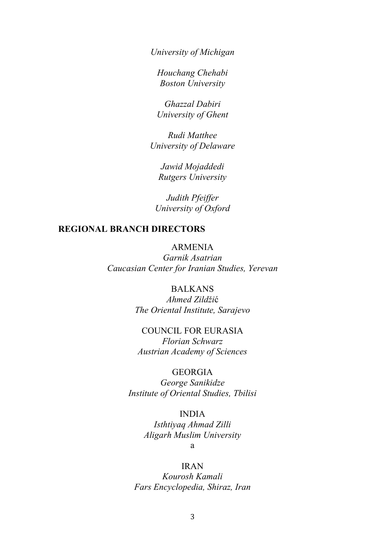*University of Michigan*

*Houchang Chehabi Boston University*

*Ghazzal Dabiri University of Ghent*

*Rudi Matthee University of Delaware*

*Jawid Mojaddedi Rutgers University*

*Judith Pfeiffer University of Oxford*

## **REGIONAL BRANCH DIRECTORS**

#### ARMENIA

*Garnik Asatrian Caucasian Center for Iranian Studies, Yerevan*

## BALKANS

*Ahmed Zildži*ć *The Oriental Institute, Sarajevo*

## COUNCIL FOR EURASIA

*Florian Schwarz Austrian Academy of Sciences*

## **GEORGIA**

*George Sanikidze Institute of Oriental Studies, Tbilisi*

INDIA

*Isthtiyaq Ahmad Zilli Aligarh Muslim University* 

a

#### IRAN

*Kourosh Kamali Fars Encyclopedia, Shiraz, Iran*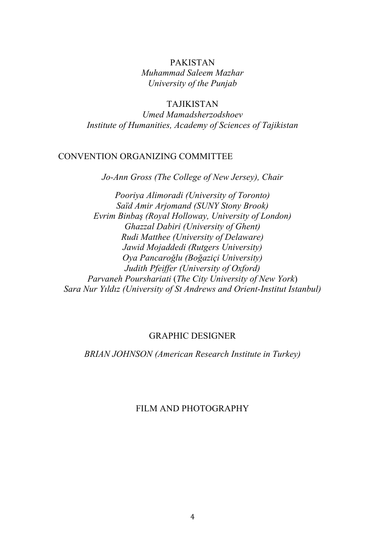## PAKISTAN *Muhammad Saleem Mazhar University of the Punjab*

# TAJIKISTAN

*Umed Mamadsherzodshoev Institute of Humanities, Academy of Sciences of Tajikistan*

## CONVENTION ORGANIZING COMMITTEE

*Jo-Ann Gross (The College of New Jersey), Chair*

*Pooriya Alimoradi (University of Toronto) Saïd Amir Arjomand (SUNY Stony Brook) Evrim Binbaş (Royal Holloway, University of London) Ghazzal Dabiri (University of Ghent) Rudi Matthee (University of Delaware) Jawid Mojaddedi (Rutgers University) Oya Pancaroǧlu (Boğaziçi University) Judith Pfeiffer (University of Oxford) Parvaneh Pourshariati* (*The City University of New York*) *Sara Nur Yıldız (University of St Andrews and Orient-Institut Istanbul)*

#### GRAPHIC DESIGNER

*BRIAN JOHNSON (American Research Institute in Turkey)*

# FILM AND PHOTOGRAPHY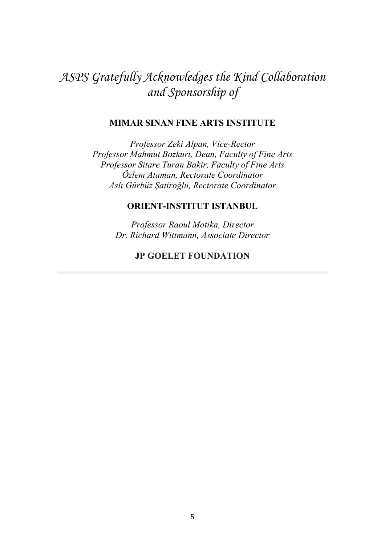# *ASPS Gratefully Acknowledges the Kind Collaboration and Sponsorship of*

#### **MIMAR SINAN FINE ARTS INSTITUTE**

*Professor Zeki Alpan, Vice-Rector Professor Mahmut Bozkurt, Dean, Faculty of Fine Arts Professor Sitare Turan Bakir, Faculty of Fine Arts Özlem Ataman, Rectorate Coordinator Aslı Gürbüz Şatiroğlu, Rectorate Coordinator*

## **ORIENT-INSTITUT ISTANBUL**

*Professor Raoul Motika, Director Dr. Richard Wittmann, Associate Director*

## **JP GOELET FOUNDATION**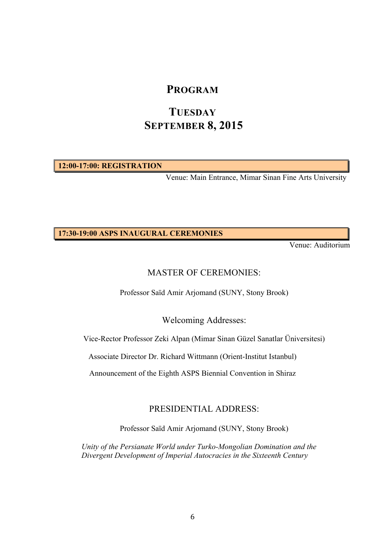# **PROGRAM**

# **TUESDAY SEPTEMBER 8, 2015**

**12:00-17:00: REGISTRATION**

Venue: Main Entrance, Mimar Sinan Fine Arts University

**17:30-19:00 ASPS INAUGURAL CEREMONIES**

Venue: Auditorium

## MASTER OF CEREMONIES:

Professor Saïd Amir Arjomand (SUNY, Stony Brook)

Welcoming Addresses:

Vice-Rector Professor Zeki Alpan (Mimar Sinan Güzel Sanatlar Üniversitesi)

Associate Director Dr. Richard Wittmann (Orient-Institut Istanbul)

Announcement of the Eighth ASPS Biennial Convention in Shiraz

## PRESIDENTIAL ADDRESS:

Professor Saïd Amir Arjomand (SUNY, Stony Brook)

*Unity of the Persianate World under Turko-Mongolian Domination and the Divergent Development of Imperial Autocracies in the Sixteenth Century*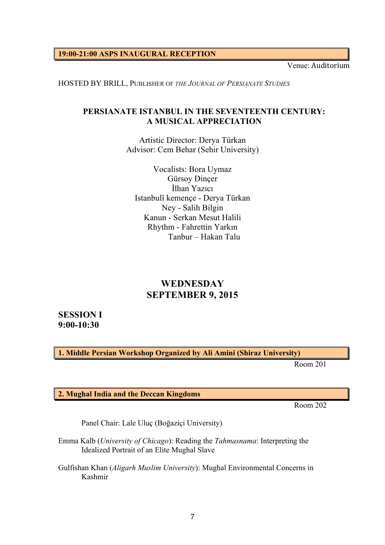**19:00-21:00 ASPS INAUGURAL RECEPTION** 

Venue: Auditorium

HOSTED BY BRILL, PUBLISHER OF *THE JOURNAL OF PERSIANATE STUDIES*

### **PERSIANATE ISTANBUL IN THE SEVENTEENTH CENTURY: A MUSICAL APPRECIATION**

Artistic Director: Derya Türkan Advisor: Cem Behar (Sehir University)

Vocalists: Bora Uymaz Gürsoy Dinçer İlhan Yazıcı Istanbulî kemençe - Derya Türkan Ney - Salih Bilgin Kanun - Serkan Mesut Halili Rhythm - Fahrettin Yarkın Tanbur – Hakan Talu

# **WEDNESDAY SEPTEMBER 9, 2015**

**SESSION I 9:00-10:30**

**1. Middle Persian Workshop Organized by Ali Amini (Shiraz University)**

Room 201

**2. Mughal India and the Deccan Kingdoms**

Room 202

Panel Chair: Lale Uluç (Boğaziçi University)

Emma Kalb (*University of Chicago*): Reading the *Tahmasnama*: Interpreting the Idealized Portrait of an Elite Mughal Slave

Gulfishan Khan (*Aligarh Muslim University*): Mughal Environmental Concerns in Kashmir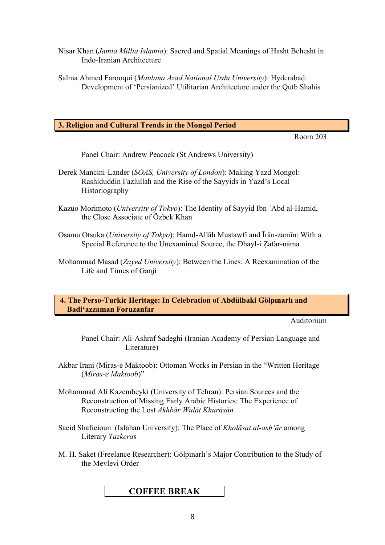- Nisar Khan (*Jamia Millia Islamia*): Sacred and Spatial Meanings of Hasht Behesht in Indo-Iranian Architecture
- Salma Ahmed Farooqui (*Maulana Azad National Urdu University*): Hyderabad: Development of 'Persianized' Utilitarian Architecture under the Qutb Shahis

#### **3. Religion and Cultural Trends in the Mongol Period**

Room 203

Panel Chair: Andrew Peacock (St Andrews University)

- Derek Mancini-Lander (*SOAS, University of London*): Making Yazd Mongol: Rashiduddin Fazlullah and the Rise of the Sayyids in Yazd's Local Historiography
- Kazuo Morimoto (*University of Tokyo*): The Identity of Sayyid Ibn ʿAbd al-Hamid, the Close Associate of Özbek Khan
- Osamu Otsuka (*University of Tokyo*): Hamd-Allāh Mustawfī and Īrān-zamīn: With a Special Reference to the Unexamined Source, the Dhayl-i Ẓafar-nāma
- Mohammad Masad (*Zayed University*): Between the Lines: A Reexamination of the Life and Times of Ganji

#### **4. The Perso-Turkic Heritage: In Celebration of Abdülbaki Gölpınarlı and Badiʻazzaman Foruzanfar**

Auditorium

Panel Chair: Ali-Ashraf Sadeghi (Iranian Academy of Persian Language and Literature)

Akbar Irani (Miras-e Maktoob): Ottoman Works in Persian in the "Written Heritage (*Miras-e Maktoob*)"

- Mohammad Ali Kazembeyki (University of Tehran): Persian Sources and the Reconstruction of Missing Early Arabic Histories: The Experience of Reconstructing the Lost *Akhbār Wulāt Khurāsān*
- Saeid Shafieioun (Isfahan University): The Place of *Kholāsat al-ashʻār* among Literary *Tazkera*s
- M. H. Saket (Freelance Researcher): Gölpınarlı's Major Contribution to the Study of the Mevlevi Order

## **COFFEE BREAK**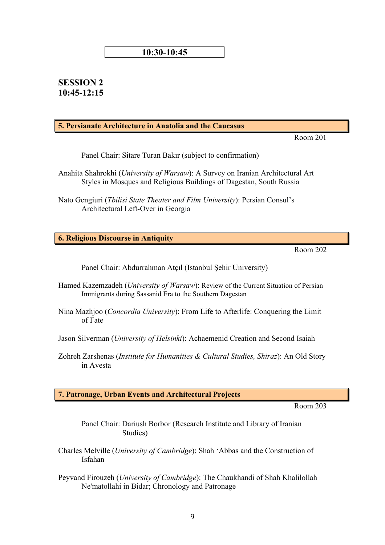#### **10:30-10:45**

## **SESSION 2 10:45-12:15**

#### **5. Persianate Architecture in Anatolia and the Caucasus**

Room 201

Panel Chair: Sitare Turan Bakır (subject to confirmation)

Anahita Shahrokhi (*University of Warsaw*): A Survey on Iranian Architectural Art Styles in Mosques and Religious Buildings of Dagestan, South Russia

Nato Gengiuri (*Tbilisi State Theater and Film University*): Persian Consul's Architectural Left-Over in Georgia

**6. Religious Discourse in Antiquity**

Room 202

Panel Chair: Abdurrahman Atçıl (Istanbul Şehir University)

- Hamed Kazemzadeh (*University of Warsaw*): Review of the Current Situation of Persian Immigrants during Sassanid Era to the Southern Dagestan
- Nina Mazhjoo (*Concordia University*): From Life to Afterlife: Conquering the Limit of Fate

Jason Silverman (*University of Helsinki*): Achaemenid Creation and Second Isaiah

Zohreh Zarshenas (*Institute for Humanities & Cultural Studies, Shiraz*): An Old Story in Avesta

**7. Patronage, Urban Events and Architectural Projects**

Room 203

Panel Chair: Dariush Borbor (Research Institute and Library of Iranian Studies)

- Charles Melville (*University of Cambridge*): Shah 'Abbas and the Construction of Isfahan
- Peyvand Firouzeh (*University of Cambridge*): The Chaukhandi of Shah Khalilollah Ne'matollahi in Bidar; Chronology and Patronage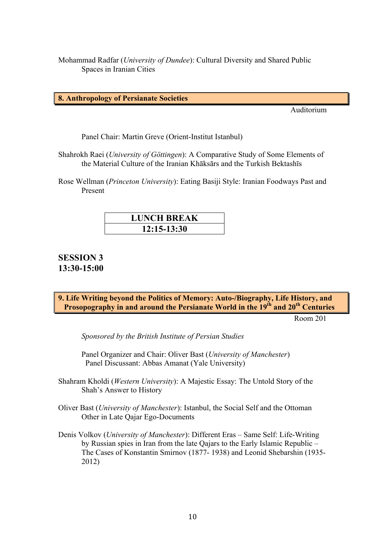Mohammad Radfar (*University of Dundee*): Cultural Diversity and Shared Public Spaces in Iranian Cities

**8. Anthropology of Persianate Societies**

Auditorium

Panel Chair: Martin Greve (Orient-Institut Istanbul)

Shahrokh Raei (*University of Göttingen*): A Comparative Study of Some Elements of the Material Culture of the Iranian Khāksārs and the Turkish Bektashīs

Rose Wellman (*Princeton University*): Eating Basiji Style: Iranian Foodways Past and Present

| <b>LUNCH BREAK</b> |
|--------------------|
| $12:15-13:30$      |

## **SESSION 3 13:30-15:00**

**9. Life Writing beyond the Politics of Memory: Auto-/Biography, Life History, and**  Prosopography in and around the Persianate World in the 19<sup>th</sup> and 20<sup>th</sup> Centuries

Room 201

*Sponsored by the British Institute of Persian Studies*

Panel Organizer and Chair: Oliver Bast (*University of Manchester*) Panel Discussant: Abbas Amanat (Yale University)

- Shahram Kholdi (*Western University*): A Majestic Essay: The Untold Story of the Shah's Answer to History
- Oliver Bast (*University of Manchester*): Istanbul, the Social Self and the Ottoman Other in Late Qajar Ego-Documents
- Denis Volkov (*University of Manchester*): Different Eras Same Self: Life-Writing by Russian spies in Iran from the late Qajars to the Early Islamic Republic – The Cases of Konstantin Smirnov (1877- 1938) and Leonid Shebarshin (1935- 2012)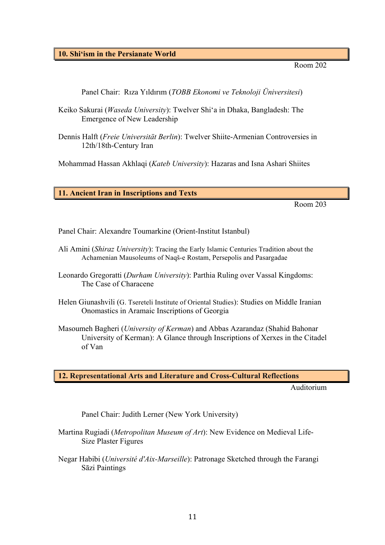**10. Shiʻism in the Persianate World**

Room 202

Panel Chair: Rıza Yıldırım (*TOBB Ekonomi ve Teknoloji Üniversitesi*)

- Keiko Sakurai (*Waseda University*): Twelver Shi'a in Dhaka, Bangladesh: The Emergence of New Leadership
- Dennis Halft (*Freie Universität Berlin*): Twelver Shiite-Armenian Controversies in 12th/18th-Century Iran

Mohammad Hassan Akhlaqi (*Kateb University*): Hazaras and Isna Ashari Shiites

**11. Ancient Iran in Inscriptions and Texts**

Room 203

Panel Chair: Alexandre Toumarkine (Orient-Institut Istanbul)

- Ali Amini (*Shiraz University*): Tracing the Early Islamic Centuries Tradition about the Achamenian Mausoleums of Naqš-e Rostam, Persepolis and Pasargadae
- Leonardo Gregoratti (*Durham University*): Parthia Ruling over Vassal Kingdoms: The Case of Characene
- Helen Giunashvili (G. Tsereteli Institute of Oriental Studies): Studies on Middle Iranian Onomastics in Aramaic Inscriptions of Georgia
- Masoumeh Bagheri (*University of Kerman*) and Abbas Azarandaz (Shahid Bahonar University of Kerman): A Glance through Inscriptions of Xerxes in the Citadel of Van

**12. Representational Arts and Literature and Cross-Cultural Reflections**

Auditorium

Panel Chair: Judith Lerner (New York University)

- Martina Rugiadi (*Metropolitan Museum of Art*): New Evidence on Medieval Life-Size Plaster Figures
- Negar Habibi (*Université d'Aix-Marseille*): Patronage Sketched through the Farangi Sāzi Paintings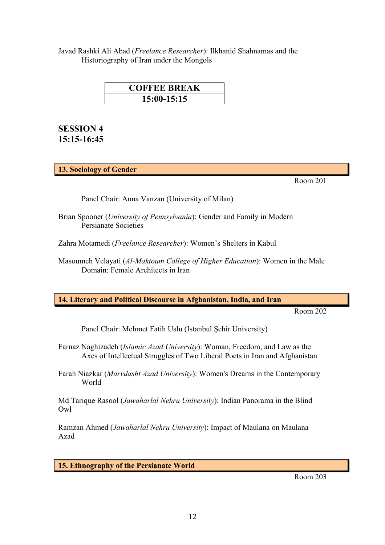Javad Rashki Ali Abad (*Freelance Researcher*): Ilkhanid Shahnamas and the Historiography of Iran under the Mongols

| <b>COFFEE BREAK</b> |  |  |
|---------------------|--|--|
| $15:00-15:15$       |  |  |

## **SESSION 4 15:15-16:45**

**13. Sociology of Gender**

Room 201

Panel Chair: Anna Vanzan (University of Milan)

- Brian Spooner (*University of Pennsylvania*): Gender and Family in Modern Persianate Societies
- Zahra Motamedi (*Freelance Researcher*): Women's Shelters in Kabul
- Masoumeh Velayati (*Al-Maktoum College of Higher Education*): Women in the Male Domain: Female Architects in Iran

**14. Literary and Political Discourse in Afghanistan, India, and Iran**

Room 202

Panel Chair: Mehmet Fatih Uslu (Istanbul Şehir University)

Farnaz Naghizadeh (*Islamic Azad University*): Woman, Freedom, and Law as the Axes of Intellectual Struggles of Two Liberal Poets in Iran and Afghanistan

Farah Niazkar (*Marvdasht Azad University*): Women's Dreams in the Contemporary World

Md Tarique Rasool (*Jawaharlal Nehru University*): Indian Panorama in the Blind Owl

Ramzan Ahmed (*Jawaharlal Nehru University*): Impact of Maulana on Maulana Azad

**15. Ethnography of the Persianate World**

Room 203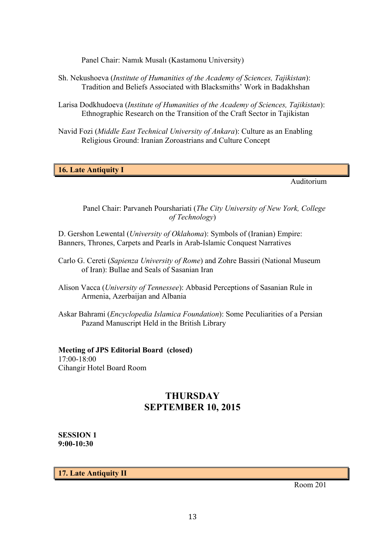Panel Chair: Namık Musalı (Kastamonu University)

- Sh. Nekushoeva (*Institute of Humanities of the Academy of Sciences, Tajikistan*): Tradition and Beliefs Associated with Blacksmiths' Work in Badakhshan
- Larisa Dodkhudoeva (*Institute of Humanities of the Academy of Sciences, Tajikistan*): Ethnographic Research on the Transition of the Craft Sector in Tajikistan
- Navid Fozi (*Middle East Technical University of Ankara*): Culture as an Enabling Religious Ground: Iranian Zoroastrians and Culture Concept

**16. Late Antiquity I**

Auditorium

Panel Chair: Parvaneh Pourshariati (*The City University of New York, College of Technology*)

D. Gershon Lewental (*University of Oklahoma*): Symbols of (Iranian) Empire: Banners, Thrones, Carpets and Pearls in Arab-Islamic Conquest Narratives

- Carlo G. Cereti (*Sapienza University of Rome*) and Zohre Bassiri (National Museum of Iran): Bullae and Seals of Sasanian Iran
- Alison Vacca (*University of Tennessee*): Abbasid Perceptions of Sasanian Rule in Armenia, Azerbaijan and Albania
- Askar Bahrami (*Encyclopedia Islamica Foundation*): Some Peculiarities of a Persian Pazand Manuscript Held in the British Library

#### **Meeting of JPS Editorial Board (closed)**

17:00-18:00 Cihangir Hotel Board Room

# **THURSDAY SEPTEMBER 10, 2015**

**SESSION 1 9:00-10:30**

**17. Late Antiquity II**

Room 201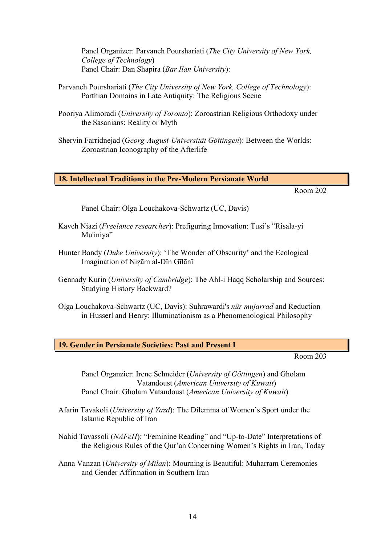Panel Organizer: Parvaneh Pourshariati (*The City University of New York, College of Technology*) Panel Chair: Dan Shapira (*Bar Ilan University*):

- Parvaneh Pourshariati (*The City University of New York, College of Technology*): Parthian Domains in Late Antiquity: The Religious Scene
- Pooriya Alimoradi (*University of Toronto*): Zoroastrian Religious Orthodoxy under the Sasanians: Reality or Myth
- Shervin Farridnejad (*Georg-August-Universität Göttingen*): Between the Worlds: Zoroastrian Iconography of the Afterlife

#### **18. Intellectual Traditions in the Pre-Modern Persianate World**

Room 202

Panel Chair: Olga Louchakova-Schwartz (UC, Davis)

- Kaveh Niazi (*Freelance researcher*): Prefiguring Innovation: Tusi's "Risala-yi Mu'iniya"
- Hunter Bandy (*Duke University*): 'The Wonder of Obscurity' and the Ecological Imagination of Niẓām al-Dīn Gīlānī
- Gennady Kurin (*University of Cambridge*): The Ahl-i Haqq Scholarship and Sources: Studying History Backward?
- Olga Louchakova-Schwartz (UC, Davis): Suhrawardi's *nûr mujarrad* and Reduction in Husserl and Henry: Illuminationism as a Phenomenological Philosophy

**19. Gender in Persianate Societies: Past and Present I**

Room 203

Panel Organzier: Irene Schneider (*University of Göttingen*) and Gholam Vatandoust (*American University of Kuwait*) Panel Chair: Gholam Vatandoust (*American University of Kuwait*)

- Afarin Tavakoli (*University of Yazd*): The Dilemma of Women's Sport under the Islamic Republic of Iran
- Nahid Tavassoli (*NAFeH*): "Feminine Reading" and "Up-to-Date" Interpretations of the Religious Rules of the Qur'an Concerning Women's Rights in Iran, Today
- Anna Vanzan (*University of Milan*): Mourning is Beautiful: Muharram Ceremonies and Gender Affirmation in Southern Iran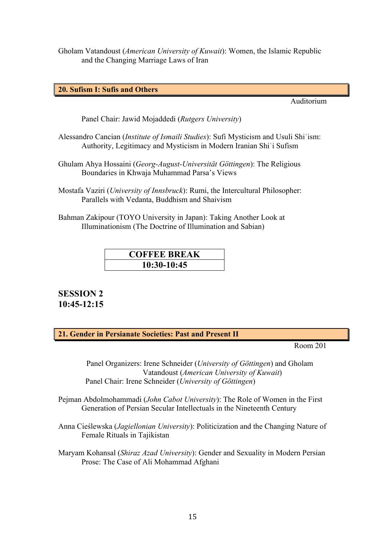Gholam Vatandoust (*American University of Kuwait*): Women, the Islamic Republic and the Changing Marriage Laws of Iran

**20. Sufism I: Sufis and Others**

Auditorium

Panel Chair: Jawid Mojaddedi (*Rutgers University*)

- Alessandro Cancian (*Institute of Ismaili Studies*): Sufi Mysticism and Usuli Shiʿism: Authority, Legitimacy and Mysticism in Modern Iranian Shiʿi Sufism
- Ghulam Ahya Hossaini (*Georg-August-Universität Göttingen*): The Religious Boundaries in Khwaja Muhammad Parsa's Views
- Mostafa Vaziri (*University of Innsbruck*): Rumi, the Intercultural Philosopher: Parallels with Vedanta, Buddhism and Shaivism
- Bahman Zakipour (TOYO University in Japan): Taking Another Look at Illuminationism (The Doctrine of Illumination and Sabian)

# **COFFEE BREAK 10:30-10:45**

# **SESSION 2 10:45-12:15**

**21. Gender in Persianate Societies: Past and Present II**

Room 201

 Panel Organizers: Irene Schneider (*University of Göttingen*) and Gholam Vatandoust (*American University of Kuwait*) Panel Chair: Irene Schneider (*University of Göttingen*)

- Pejman Abdolmohammadi (*John Cabot University*): The Role of Women in the First Generation of Persian Secular Intellectuals in the Nineteenth Century
- Anna Cieślewska (*Jagiellonian University*): Politicization and the Changing Nature of Female Rituals in Tajikistan
- Maryam Kohansal (*Shiraz Azad University*): Gender and Sexuality in Modern Persian Prose: The Case of Ali Mohammad Afghani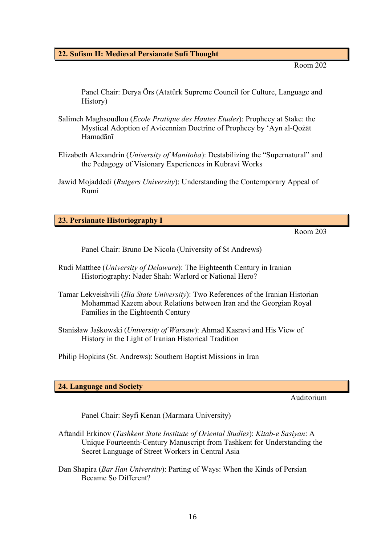#### **22. Sufism II: Medieval Persianate Sufi Thought**

Room 202

Panel Chair: Derya Örs (Atatürk Supreme Council for Culture, Language and History)

- Salimeh Maghsoudlou (*Ecole Pratique des Hautes Etudes*): Prophecy at Stake: the Mystical Adoption of Avicennian Doctrine of Prophecy by 'Ayn al-Qożāt Hamadānī
- Elizabeth Alexandrin (*University of Manitoba*): Destabilizing the "Supernatural" and the Pedagogy of Visionary Experiences in Kubravi Works
- Jawid Mojaddedi (*Rutgers University*): Understanding the Contemporary Appeal of Rumi

#### **23. Persianate Historiography I**

Room 203

Panel Chair: Bruno De Nicola (University of St Andrews)

- Rudi Matthee (*University of Delaware*): The Eighteenth Century in Iranian Historiography: Nader Shah: Warlord or National Hero?
- Tamar Lekveishvili (*Ilia State University*): Two References of the Iranian Historian Mohammad Kazem about Relations between Iran and the Georgian Royal Families in the Eighteenth Century
- Stanisław Jaśkowski (*University of Warsaw*): Ahmad Kasravi and His View of History in the Light of Iranian Historical Tradition

Philip Hopkins (St. Andrews): Southern Baptist Missions in Iran

#### **24. Language and Society**

Auditorium

Panel Chair: Seyfi Kenan (Marmara University)

- Aftandil Erkinov (*Tashkent State Institute of Oriental Studies*): *Kitab-e Sasiyan*: A Unique Fourteenth-Century Manuscript from Tashkent for Understanding the Secret Language of Street Workers in Central Asia
- Dan Shapira (*Bar Ilan University*): Parting of Ways: When the Kinds of Persian Became So Different?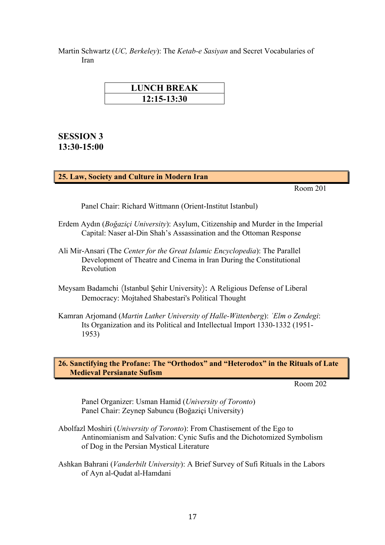Martin Schwartz (*UC, Berkeley*): The *Ketab-e Sasiyan* and Secret Vocabularies of Iran

| <b>LUNCH BREAK</b> |
|--------------------|
| $12:15 - 13:30$    |

# **SESSION 3 13:30-15:00**

#### **25. Law, Society and Culture in Modern Iran**

Room 201

Panel Chair: Richard Wittmann (Orient-Institut Istanbul)

- Erdem Aydın (*Boğaziçi University*): Asylum, Citizenship and Murder in the Imperial Capital: Naser al-Din Shah's Assassination and the Ottoman Response
- Ali Mir-Ansari (The *Center for the Great Islamic Encyclopedia*): The Parallel Development of Theatre and Cinema in Iran During the Constitutional Revolution
- Meysam Badamchi (Istanbul Şehir University): A Religious Defense of Liberal Democracy: Mojtahed Shabestari's Political Thought
- Kamran Arjomand (*Martin Luther University of Halle-Wittenberg*): *ʿElm o Zendegi*: Its Organization and its Political and Intellectual Import 1330-1332 (1951- 1953)

**26. Sanctifying the Profane: The "Orthodox" and "Heterodox" in the Rituals of Late Medieval Persianate Sufism**

Room 202

Panel Organizer: Usman Hamid (*University of Toronto*) Panel Chair: Zeynep Sabuncu (Boğaziçi University)

- Abolfazl Moshiri (*University of Toronto*): From Chastisement of the Ego to Antinomianism and Salvation: Cynic Sufis and the Dichotomized Symbolism of Dog in the Persian Mystical Literature
- Ashkan Bahrani (*Vanderbilt University*): A Brief Survey of Sufi Rituals in the Labors of Ayn al-Qudat al-Hamdani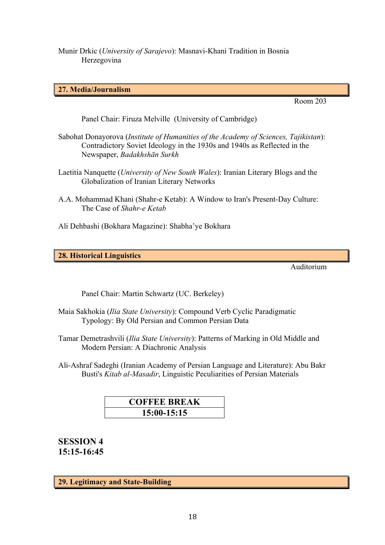Munir Drkic (*University of Sarajevo*): Masnavi-Khani Tradition in Bosnia Herzegovina

#### **27. Media/Journalism**

Room 203

Panel Chair: Firuza Melville (University of Cambridge)

- Sabohat Donayorova (*Institute of Humanities of the Academy of Sciences, Tajikistan*): Contradictory Soviet Ideology in the 1930s and 1940s as Reflected in the Newspaper, *Badakhshān Surkh*
- Laetitia Nanquette (*University of New South Wales*): Iranian Literary Blogs and the Globalization of Iranian Literary Networks
- A.A. Mohammad Khani (Shahr-e Ketab): A Window to Iran's Present-Day Culture: The Case of *Shahr-e Ketab*
- Ali Dehbashi (Bokhara Magazine): Shabha'ye Bokhara

**28. Historical Linguistics**

Auditorium

Panel Chair: Martin Schwartz (UC. Berkeley)

- Maia Sakhokia (*Ilia State University*): Compound Verb Cyclic Paradigmatic Typology: By Old Persian and Common Persian Data
- Tamar Demetrashvili (*Ilia State University*): Patterns of Marking in Old Middle and Modern Persian: A Diachronic Analysis
- Ali-Ashraf Sadeghi (Iranian Academy of Persian Language and Literature): Abu Bakr Busti's *Kitab al-Masadir*, Linguistic Peculiarities of Persian Materials

| <b>COFFEE BREAK</b> |  |
|---------------------|--|
| 15:00-15:15         |  |

**SESSION 4 15:15-16:45**

**29. Legitimacy and State-Building**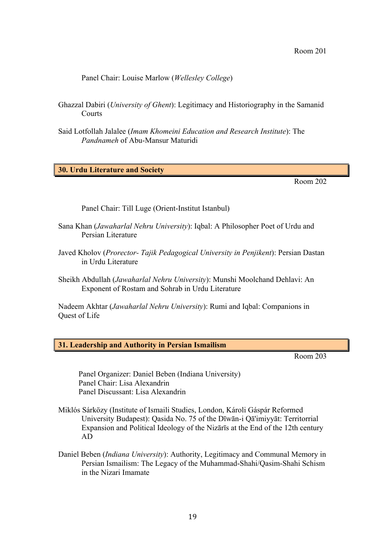Panel Chair: Louise Marlow (*Wellesley College*)

- Ghazzal Dabiri (*University of Ghent*): Legitimacy and Historiography in the Samanid Courts
- Said Lotfollah Jalalee (*Imam Khomeini Education and Research Institute*): The *Pandnameh* of Abu-Mansur Maturidi

**30. Urdu Literature and Society**

Room 202

Panel Chair: Till Luge (Orient-Institut Istanbul)

- Sana Khan (*Jawaharlal Nehru University*): Iqbal: A Philosopher Poet of Urdu and Persian Literature
- Javed Kholov (*Prorector- Tajik Pedagogical University in Penjikent*): Persian Dastan in Urdu Literature
- Sheikh Abdullah (*Jawaharlal Nehru University*): Munshi Moolchand Dehlavi: An Exponent of Rostam and Sohrab in Urdu Literature

Nadeem Akhtar (*Jawaharlal Nehru University*): Rumi and Iqbal: Companions in Quest of Life

**31. Leadership and Authority in Persian Ismailism**

Room 203

Panel Organizer: Daniel Beben (Indiana University) Panel Chair: Lisa Alexandrin Panel Discussant: Lisa Alexandrin

- Miklós Sárközy (Institute of Ismaili Studies, London, Károli Gáspár Reformed University Budapest): Qasida No. 75 of the Dīwān-i Qā'imiyyāt: Territorrial Expansion and Political Ideology of the Nizārīs at the End of the 12th century AD
- Daniel Beben (*Indiana University*): Authority, Legitimacy and Communal Memory in Persian Ismailism: The Legacy of the Muhammad-Shahi/Qasim-Shahi Schism in the Nizari Imamate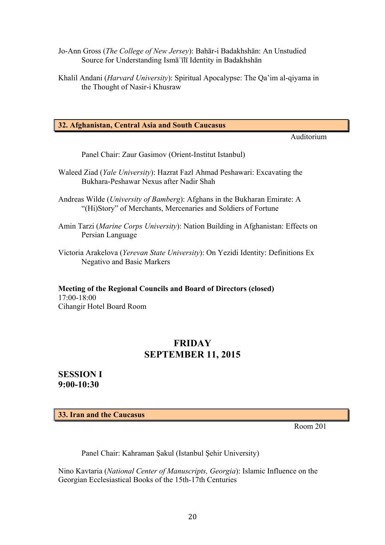- Jo-Ann Gross (*The College of New Jersey*): Bahār-i Badakhshān: An Unstudied Source for Understanding Ismāʿīlī Identity in Badakhshān
- Khalil Andani (*Harvard University*): Spiritual Apocalypse: The Qa'im al-qiyama in the Thought of Nasir-i Khusraw

#### **32. Afghanistan, Central Asia and South Caucasus**

Auditorium

Panel Chair: Zaur Gasimov (Orient-Institut Istanbul)

- Waleed Ziad (*Yale University*): Hazrat Fazl Ahmad Peshawari: Excavating the Bukhara-Peshawar Nexus after Nadir Shah
- Andreas Wilde (*University of Bamberg*): Afghans in the Bukharan Emirate: A "(Hi)Story" of Merchants, Mercenaries and Soldiers of Fortune
- Amin Tarzi (*Marine Corps University*): Nation Building in Afghanistan: Effects on Persian Language
- Victoria Arakelova (*Yerevan State University*): On Yezidi Identity: Definitions Ex Negativo and Basic Markers

**Meeting of the Regional Councils and Board of Directors (closed)** 17:00-18:00 Cihangir Hotel Board Room

## **FRIDAY SEPTEMBER 11, 2015**

**SESSION I 9:00-10:30**

**33. Iran and the Caucasus**

Room 201

Panel Chair: Kahraman Şakul (Istanbul Şehir University)

Nino Kavtaria (*National Center of Manuscripts, Georgia*): Islamic Influence on the Georgian Ecclesiastical Books of the 15th-17th Centuries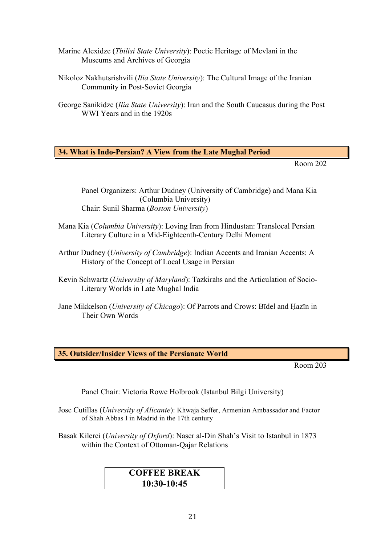- Marine Alexidze (*Tbilisi State University*): Poetic Heritage of Mevlani in the Museums and Archives of Georgia
- Nikoloz Nakhutsrishvili (*Ilia State University*): The Cultural Image of the Iranian Community in Post-Soviet Georgia
- George Sanikidze (*Ilia State University*): Iran and the South Caucasus during the Post WWI Years and in the 1920s

#### **34. What is Indo-Persian? A View from the Late Mughal Period**

Room 202

Panel Organizers: Arthur Dudney (University of Cambridge) and Mana Kia (Columbia University) Chair: Sunil Sharma (*Boston University*)

- Mana Kia (*Columbia University*): Loving Iran from Hindustan: Translocal Persian Literary Culture in a Mid-Eighteenth-Century Delhi Moment
- Arthur Dudney (*University of Cambridge*): Indian Accents and Iranian Accents: A History of the Concept of Local Usage in Persian
- Kevin Schwartz (*University of Maryland*): Tazkirahs and the Articulation of Socio-Literary Worlds in Late Mughal India
- Jane Mikkelson (*University of Chicago*): Of Parrots and Crows: Bīdel and Ḥazīn in Their Own Words

**35. Outsider/Insider Views of the Persianate World**

Room 203

Panel Chair: Victoria Rowe Holbrook (Istanbul Bilgi University)

- Jose Cutillas (*University of Alicante*): Khwaja Seffer, Armenian Ambassador and Factor of Shah Abbas I in Madrid in the 17th century
- Basak Kilerci (*University of Oxford*): Naser al-Din Shah's Visit to Istanbul in 1873 within the Context of Ottoman-Qajar Relations

# **COFFEE BREAK 10:30-10:45**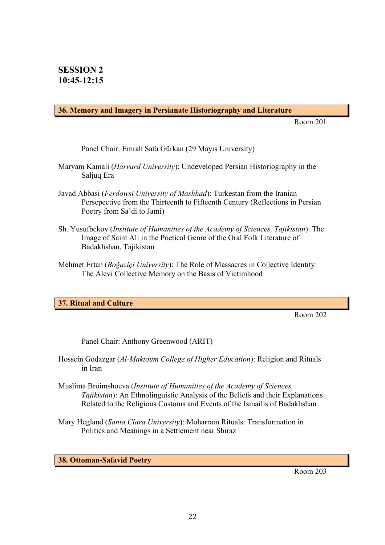#### **36. Memory and Imagery in Persianate Historiography and Literature**

Room 201

Panel Chair: Emrah Safa Gürkan (29 Mayıs University)

- Maryam Kamali (*Harvard University*): Undeveloped Persian Historiography in the Saljuq Era
- Javad Abbasi (*Ferdowsi University of Mashhad*): Turkestan from the Iranian Persepective from the Thirteenth to Fifteenth Century (Reflections in Persian Poetry from Sa'di to Jami)
- Sh. Yusufbekov (*Institute of Humanities of the Academy of Sciences, Tajikistan*): The Image of Saint Ali in the Poetical Genre of the Oral Folk Literature of Badakhshan, Tajikistan
- Mehmet Ertan (*Boğaziçi University*): The Role of Massacres in Collective Identity: The Alevi Collective Memory on the Basis of Victimhood

#### **37. Ritual and Culture**

Room 202

Panel Chair: Anthony Greenwood (ARIT)

- Hossein Godazgar (*Al-Maktoum College of Higher Education*): Religion and Rituals in Iran
- Muslima Broimshoeva (*Institute of Humanities of the Academy of Sciences, Tajikistan*): An Ethnolinguistic Analysis of the Beliefs and their Explanations Related to the Religious Customs and Events of the Ismailis of Badakhshan
- Mary Hegland (*Santa Clara University*): Moharram Rituals: Transformation in Politics and Meanings in a Settlement near Shiraz

**38. Ottoman-Safavid Poetry**

Room 203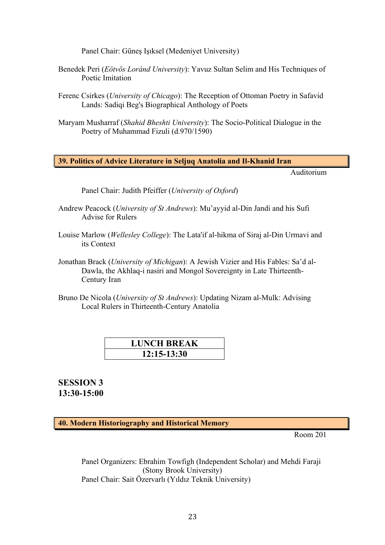Panel Chair: Güneş Işıksel (Medeniyet University)

- Benedek Peri (*Eötvös Loránd University*): Yavuz Sultan Selim and His Techniques of Poetic Imitation
- Ferenc Csirkes (*University of Chicago*): The Reception of Ottoman Poetry in Safavid Lands: Sadiqi Beg's Biographical Anthology of Poets
- Maryam Musharraf (*Shahid Bheshti University*): The Socio-Political Dialogue in the Poetry of Muhammad Fizuli (d.970/1590)

**39. Politics of Advice Literature in Seljuq Anatolia and Il-Khanid Iran**

Auditorium

Panel Chair: Judith Pfeiffer (*University of Oxford*)

- Andrew Peacock (*University of St Andrews*): Mu'ayyid al-Din Jandi and his Sufi Advise for Rulers
- Louise Marlow (*Wellesley College*): The Lata'if al-hikma of Siraj al-Din Urmavi and its Context
- Jonathan Brack (*University of Michigan*): A Jewish Vizier and His Fables: Sa'd al-Dawla, the Akhlaq-i nasiri and Mongol Sovereignty in Late Thirteenth-Century Iran
- Bruno De Nicola (*University of St Andrews*): Updating Nizam al-Mulk: Advising Local Rulers in Thirteenth-Century Anatolia

| <b>LUNCH BREAK</b> |  |
|--------------------|--|
| $12:15-13:30$      |  |

**SESSION 3 13:30-15:00**

**40. Modern Historiography and Historical Memory**

Room 201

Panel Organizers: Ebrahim Towfigh (Independent Scholar) and Mehdi Faraji (Stony Brook University) Panel Chair: Sait Özervarlı (Yıldız Teknik University)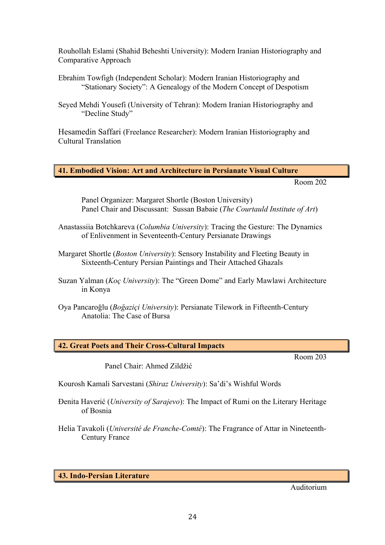Rouhollah Eslami (Shahid Beheshti University): Modern Iranian Historiography and Comparative Approach

Ebrahim Towfigh (Independent Scholar): Modern Iranian Historiography and "Stationary Society": A Genealogy of the Modern Concept of Despotism

Hesamedin Saffari (Freelance Researcher): Modern Iranian Historiography and Cultural Translation

#### **41. Embodied Vision: Art and Architecture in Persianate Visual Culture**

Room 202

Panel Organizer: Margaret Shortle (Boston University) Panel Chair and Discussant: Sussan Babaie (*The Courtauld Institute of Art*)

- Anastassiia Botchkareva (*Columbia University*): Tracing the Gesture: The Dynamics of Enlivenment in Seventeenth-Century Persianate Drawings
- Margaret Shortle (*Boston University*): Sensory Instability and Fleeting Beauty in Sixteenth-Century Persian Paintings and Their Attached Ghazals
- Suzan Yalman (*Koç University*): The "Green Dome" and Early Mawlawi Architecture in Konya
- Oya Pancaroǧlu (*Boğaziçi University*): Persianate Tilework in Fifteenth-Century Anatolia: The Case of Bursa

|  |  |  | <b>42. Great Poets and Their Cross-Cultural Impacts</b> |  |
|--|--|--|---------------------------------------------------------|--|
|--|--|--|---------------------------------------------------------|--|

Room 203

Panel Chair: Ahmed Zildžić

Kourosh Kamali Sarvestani (*Shiraz University*): Sa'di's Wishful Words

Đenita Haverić (*University of Sarajevo*): The Impact of Rumi on the Literary Heritage of Bosnia

Helia Tavakoli (*Université de Franche-Comté*): The Fragrance of Attar in Nineteenth-Century France

|  |  |  | 43. Indo-Persian Literature |
|--|--|--|-----------------------------|
|--|--|--|-----------------------------|

Auditorium

Seyed Mehdi Yousefi (University of Tehran): Modern Iranian Historiography and "Decline Study"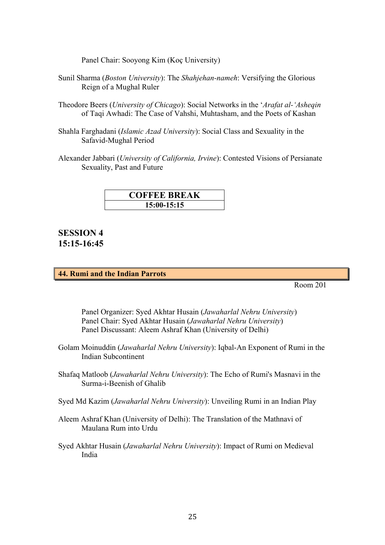Panel Chair: Sooyong Kim (Koç University)

- Sunil Sharma (*Boston University*): The *Shahjehan-nameh*: Versifying the Glorious Reign of a Mughal Ruler
- Theodore Beers (*University of Chicago*): Social Networks in the '*Arafat al-'Asheqin* of Taqi Awhadi: The Case of Vahshi, Muhtasham, and the Poets of Kashan
- Shahla Farghadani (*Islamic Azad University*): Social Class and Sexuality in the Safavid-Mughal Period

Alexander Jabbari (*University of California, Irvine*): Contested Visions of Persianate Sexuality, Past and Future

| <b>COFFEE BREAK</b> |  |  |  |
|---------------------|--|--|--|
| 15:00-15:15         |  |  |  |

**SESSION 4 15:15-16:45**

#### **44. Rumi and the Indian Parrots**

Room 201

Panel Organizer: Syed Akhtar Husain (*Jawaharlal Nehru University*) Panel Chair: Syed Akhtar Husain (*Jawaharlal Nehru University*) Panel Discussant: Aleem Ashraf Khan (University of Delhi)

- Golam Moinuddin (*Jawaharlal Nehru University*): Iqbal-An Exponent of Rumi in the Indian Subcontinent
- Shafaq Matloob (*Jawaharlal Nehru University*): The Echo of Rumi's Masnavi in the Surma-i-Beenish of Ghalib
- Syed Md Kazim (*Jawaharlal Nehru University*): Unveiling Rumi in an Indian Play
- Aleem Ashraf Khan (University of Delhi): The Translation of the Mathnavi of Maulana Rum into Urdu
- Syed Akhtar Husain (*Jawaharlal Nehru University*): Impact of Rumi on Medieval India